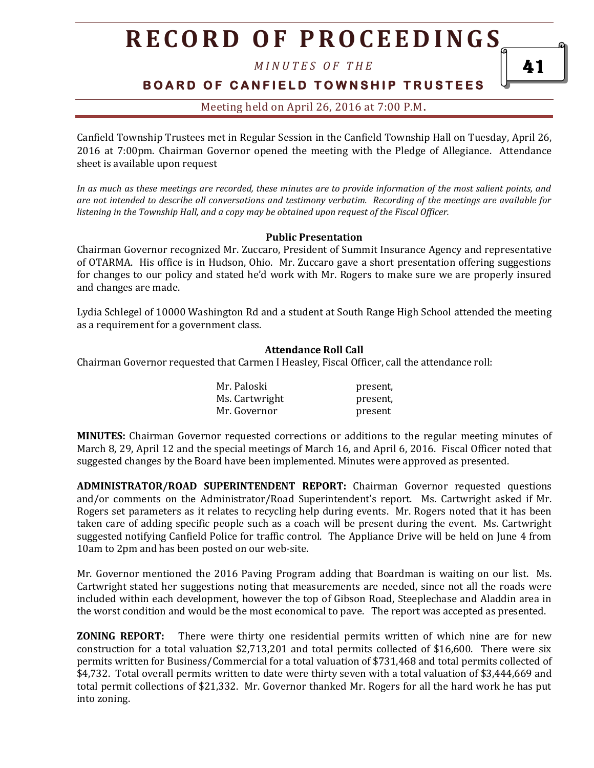*M I N U T E S O F T H E* 

#### **B O A R D O F C A N F I E L D T O W N S H I P T R U S T E E S**

#### Meeting held on April 26, 2016 at 7:00 P.M**.**

Canfield Township Trustees met in Regular Session in the Canfield Township Hall on Tuesday, April 26, 2016 at 7:00pm. Chairman Governor opened the meeting with the Pledge of Allegiance. Attendance sheet is available upon request

*In as much as these meetings are recorded, these minutes are to provide information of the most salient points, and are not intended to describe all conversations and testimony verbatim. Recording of the meetings are available for listening in the Township Hall, and a copy may be obtained upon request of the Fiscal Officer.* 

#### **Public Presentation**

Chairman Governor recognized Mr. Zuccaro, President of Summit Insurance Agency and representative of OTARMA. His office is in Hudson, Ohio. Mr. Zuccaro gave a short presentation offering suggestions for changes to our policy and stated he'd work with Mr. Rogers to make sure we are properly insured and changes are made.

Lydia Schlegel of 10000 Washington Rd and a student at South Range High School attended the meeting as a requirement for a government class.

#### **Attendance Roll Call**

Chairman Governor requested that Carmen I Heasley, Fiscal Officer, call the attendance roll:

| Mr. Paloski    | present, |
|----------------|----------|
| Ms. Cartwright | present, |
| Mr. Governor   | present  |

**MINUTES:** Chairman Governor requested corrections or additions to the regular meeting minutes of March 8, 29, April 12 and the special meetings of March 16, and April 6, 2016. Fiscal Officer noted that suggested changes by the Board have been implemented. Minutes were approved as presented.

**ADMINISTRATOR/ROAD SUPERINTENDENT REPORT:** Chairman Governor requested questions and/or comments on the Administrator/Road Superintendent's report. Ms. Cartwright asked if Mr. Rogers set parameters as it relates to recycling help during events. Mr. Rogers noted that it has been taken care of adding specific people such as a coach will be present during the event. Ms. Cartwright suggested notifying Canfield Police for traffic control. The Appliance Drive will be held on June 4 from 10am to 2pm and has been posted on our web-site.

Mr. Governor mentioned the 2016 Paving Program adding that Boardman is waiting on our list. Ms. Cartwright stated her suggestions noting that measurements are needed, since not all the roads were included within each development, however the top of Gibson Road, Steeplechase and Aladdin area in the worst condition and would be the most economical to pave. The report was accepted as presented.

**ZONING REPORT:** There were thirty one residential permits written of which nine are for new construction for a total valuation \$2,713,201 and total permits collected of \$16,600. There were six permits written for Business/Commercial for a total valuation of \$731,468 and total permits collected of \$4,732. Total overall permits written to date were thirty seven with a total valuation of \$3,444,669 and total permit collections of \$21,332. Mr. Governor thanked Mr. Rogers for all the hard work he has put into zoning.

41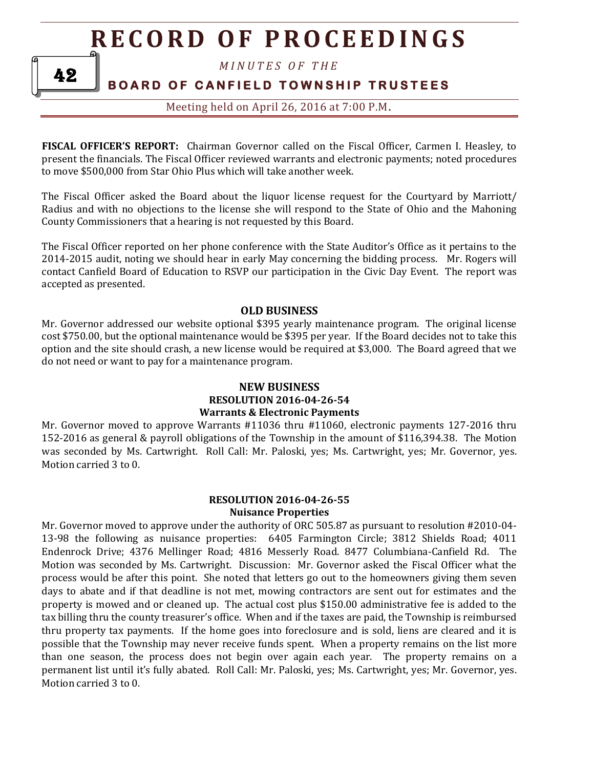*M I N U T E S O F T H E* 

#### **BOARD OF CANFIELD TOWNSHIP TRUSTEES**

Meeting held on April 26, 2016 at 7:00 P.M**.**

**FISCAL OFFICER'S REPORT:** Chairman Governor called on the Fiscal Officer, Carmen I. Heasley, to present the financials. The Fiscal Officer reviewed warrants and electronic payments; noted procedures to move \$500,000 from Star Ohio Plus which will take another week.

The Fiscal Officer asked the Board about the liquor license request for the Courtyard by Marriott/ Radius and with no objections to the license she will respond to the State of Ohio and the Mahoning County Commissioners that a hearing is not requested by this Board.

The Fiscal Officer reported on her phone conference with the State Auditor's Office as it pertains to the 2014-2015 audit, noting we should hear in early May concerning the bidding process. Mr. Rogers will contact Canfield Board of Education to RSVP our participation in the Civic Day Event. The report was accepted as presented.

#### **OLD BUSINESS**

Mr. Governor addressed our website optional \$395 yearly maintenance program. The original license cost \$750.00, but the optional maintenance would be \$395 per year. If the Board decides not to take this option and the site should crash, a new license would be required at \$3,000. The Board agreed that we do not need or want to pay for a maintenance program.

#### **NEW BUSINESS RESOLUTION 2016-04-26-54 Warrants & Electronic Payments**

Mr. Governor moved to approve Warrants #11036 thru #11060, electronic payments 127-2016 thru 152-2016 as general & payroll obligations of the Township in the amount of \$116,394.38. The Motion was seconded by Ms. Cartwright. Roll Call: Mr. Paloski, yes; Ms. Cartwright, yes; Mr. Governor, yes. Motion carried 3 to 0.

#### **RESOLUTION 2016-04-26-55 Nuisance Properties**

Mr. Governor moved to approve under the authority of ORC 505.87 as pursuant to resolution #2010-04- 13-98 the following as nuisance properties: 6405 Farmington Circle; 3812 Shields Road; 4011 Endenrock Drive; 4376 Mellinger Road; 4816 Messerly Road. 8477 Columbiana-Canfield Rd. The Motion was seconded by Ms. Cartwright. Discussion: Mr. Governor asked the Fiscal Officer what the process would be after this point. She noted that letters go out to the homeowners giving them seven days to abate and if that deadline is not met, mowing contractors are sent out for estimates and the property is mowed and or cleaned up. The actual cost plus \$150.00 administrative fee is added to the tax billing thru the county treasurer's office. When and if the taxes are paid, the Township is reimbursed thru property tax payments. If the home goes into foreclosure and is sold, liens are cleared and it is possible that the Township may never receive funds spent. When a property remains on the list more than one season, the process does not begin over again each year. The property remains on a permanent list until it's fully abated. Roll Call: Mr. Paloski, yes; Ms. Cartwright, yes; Mr. Governor, yes. Motion carried 3 to 0.

42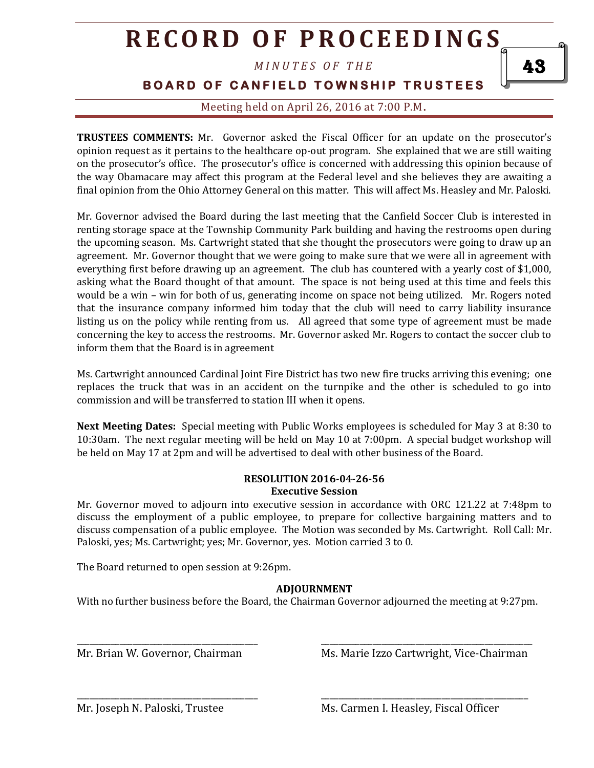*M I N U T E S O F T H E* 

**BOARD OF CANFIELD TOWNSHIP TRUSTEES** 

Meeting held on April 26, 2016 at 7:00 P.M**.**

**TRUSTEES COMMENTS:** Mr. Governor asked the Fiscal Officer for an update on the prosecutor's opinion request as it pertains to the healthcare op-out program. She explained that we are still waiting on the prosecutor's office. The prosecutor's office is concerned with addressing this opinion because of the way Obamacare may affect this program at the Federal level and she believes they are awaiting a final opinion from the Ohio Attorney General on this matter. This will affect Ms. Heasley and Mr. Paloski.

Mr. Governor advised the Board during the last meeting that the Canfield Soccer Club is interested in renting storage space at the Township Community Park building and having the restrooms open during the upcoming season. Ms. Cartwright stated that she thought the prosecutors were going to draw up an agreement. Mr. Governor thought that we were going to make sure that we were all in agreement with everything first before drawing up an agreement. The club has countered with a yearly cost of \$1,000, asking what the Board thought of that amount. The space is not being used at this time and feels this would be a win – win for both of us, generating income on space not being utilized. Mr. Rogers noted that the insurance company informed him today that the club will need to carry liability insurance listing us on the policy while renting from us. All agreed that some type of agreement must be made concerning the key to access the restrooms. Mr. Governor asked Mr. Rogers to contact the soccer club to inform them that the Board is in agreement

Ms. Cartwright announced Cardinal Joint Fire District has two new fire trucks arriving this evening; one replaces the truck that was in an accident on the turnpike and the other is scheduled to go into commission and will be transferred to station III when it opens.

**Next Meeting Dates:** Special meeting with Public Works employees is scheduled for May 3 at 8:30 to 10:30am. The next regular meeting will be held on May 10 at 7:00pm. A special budget workshop will be held on May 17 at 2pm and will be advertised to deal with other business of the Board.

#### **RESOLUTION 2016-04-26-56 Executive Session**

Mr. Governor moved to adjourn into executive session in accordance with ORC 121.22 at 7:48pm to discuss the employment of a public employee, to prepare for collective bargaining matters and to discuss compensation of a public employee. The Motion was seconded by Ms. Cartwright. Roll Call: Mr. Paloski, yes; Ms. Cartwright; yes; Mr. Governor, yes. Motion carried 3 to 0.

The Board returned to open session at 9:26pm.

#### **ADJOURNMENT**

With no further business before the Board, the Chairman Governor adjourned the meeting at 9:27pm.

Mr. Brian W. Governor, Chairman Ms. Marie Izzo Cartwright, Vice-Chairman

\_\_\_\_\_\_\_\_\_\_\_\_\_\_\_\_\_\_\_\_\_\_\_\_\_\_\_\_\_\_\_\_\_\_\_\_\_\_\_\_\_\_ \_\_\_\_\_\_\_\_\_\_\_\_\_\_\_\_\_\_\_\_\_\_\_\_\_\_\_\_\_\_\_\_\_\_\_\_\_\_\_\_\_\_\_\_\_\_\_\_\_

\_\_\_\_\_\_\_\_\_\_\_\_\_\_\_\_\_\_\_\_\_\_\_\_\_\_\_\_\_\_\_\_\_\_\_\_\_\_\_\_\_\_ \_\_\_\_\_\_\_\_\_\_\_\_\_\_\_\_\_\_\_\_\_\_\_\_\_\_\_\_\_\_\_\_\_\_\_\_\_\_\_\_\_\_\_\_\_\_\_\_

Mr. Joseph N. Paloski, Trustee Ms. Carmen I. Heasley, Fiscal Officer